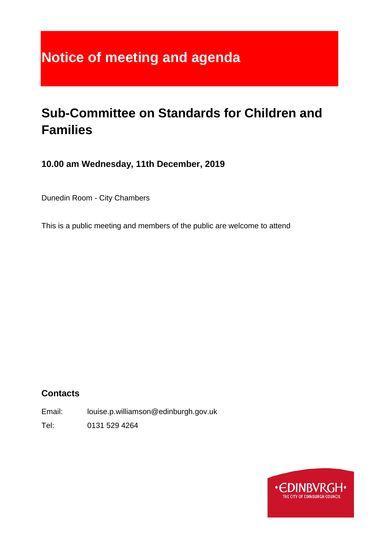# **Notice of meeting and agenda**

# **Sub-Committee on Standards for Children and Families**

**10.00 am Wednesday, 11th December, 2019**

Dunedin Room - City Chambers

This is a public meeting and members of the public are welcome to attend

### **Contacts**

Email: louise.p.williamson@edinburgh.gov.uk

Tel: 0131 529 4264

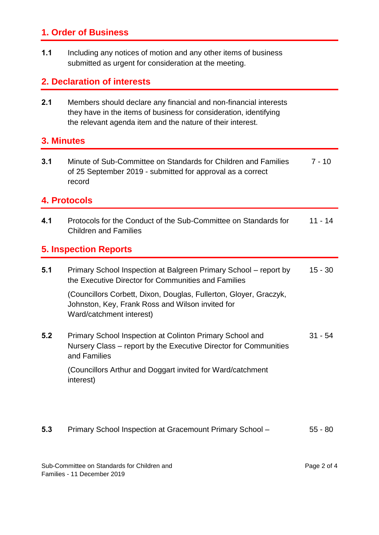#### **1. Order of Business**

**1.1** Including any notices of motion and any other items of business submitted as urgent for consideration at the meeting.

#### **2. Declaration of interests**

**2.1** Members should declare any financial and non-financial interests they have in the items of business for consideration, identifying the relevant agenda item and the nature of their interest.

#### **3. Minutes**

**3.1** Minute of Sub-Committee on Standards for Children and Families of 25 September 2019 - submitted for approval as a correct record 7 - 10

#### **4. Protocols**

**4.1** Protocols for the Conduct of the Sub-Committee on Standards for Children and Families 11 - 14

#### **5. Inspection Reports**

| 5.1 | Primary School Inspection at Balgreen Primary School - report by<br>the Executive Director for Communities and Families                           | $15 - 30$ |
|-----|---------------------------------------------------------------------------------------------------------------------------------------------------|-----------|
|     | (Councillors Corbett, Dixon, Douglas, Fullerton, Gloyer, Graczyk,<br>Johnston, Key, Frank Ross and Wilson invited for<br>Ward/catchment interest) |           |
| 5.2 | Primary School Inspection at Colinton Primary School and<br>Nursery Class – report by the Executive Director for Communities<br>and Families      | $31 - 54$ |
|     | (Councillors Arthur and Doggart invited for Ward/catchment<br>interest)                                                                           |           |

**5.3** Primary School Inspection at Gracemount Primary School – 55 - 80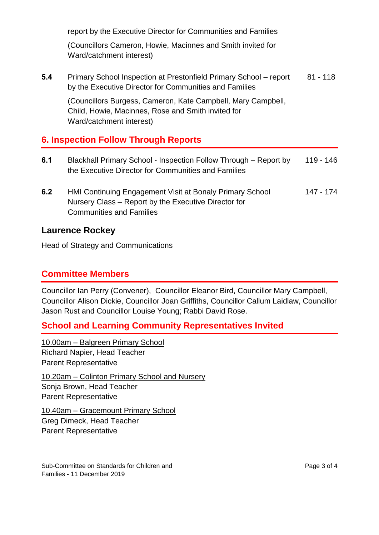report by the Executive Director for Communities and Families (Councillors Cameron, Howie, Macinnes and Smith invited for Ward/catchment interest) **5.4** Primary School Inspection at Prestonfield Primary School – report by the Executive Director for Communities and Families (Councillors Burgess, Cameron, Kate Campbell, Mary Campbell, Child, Howie, Macinnes, Rose and Smith invited for Ward/catchment interest) 81 - 118 **6. Inspection Follow Through Reports 6.1** Blackhall Primary School - Inspection Follow Through – Report by 119 - 146

**6.2** HMI Continuing Engagement Visit at Bonaly Primary School Nursery Class – Report by the Executive Director for Communities and Families 147 - 174

#### **Laurence Rockey**

Head of Strategy and Communications

#### **Committee Members**

Councillor Ian Perry (Convener), Councillor Eleanor Bird, Councillor Mary Campbell, Councillor Alison Dickie, Councillor Joan Griffiths, Councillor Callum Laidlaw, Councillor Jason Rust and Councillor Louise Young; Rabbi David Rose.

#### **School and Learning Community Representatives Invited**

the Executive Director for Communities and Families

10.00am – Balgreen Primary School Richard Napier, Head Teacher Parent Representative 10.20am – Colinton Primary School and Nursery Sonja Brown, Head Teacher Parent Representative

10.40am – Gracemount Primary School Greg Dimeck, Head Teacher Parent Representative

Sub-Committee on Standards for Children and Families - 11 December 2019